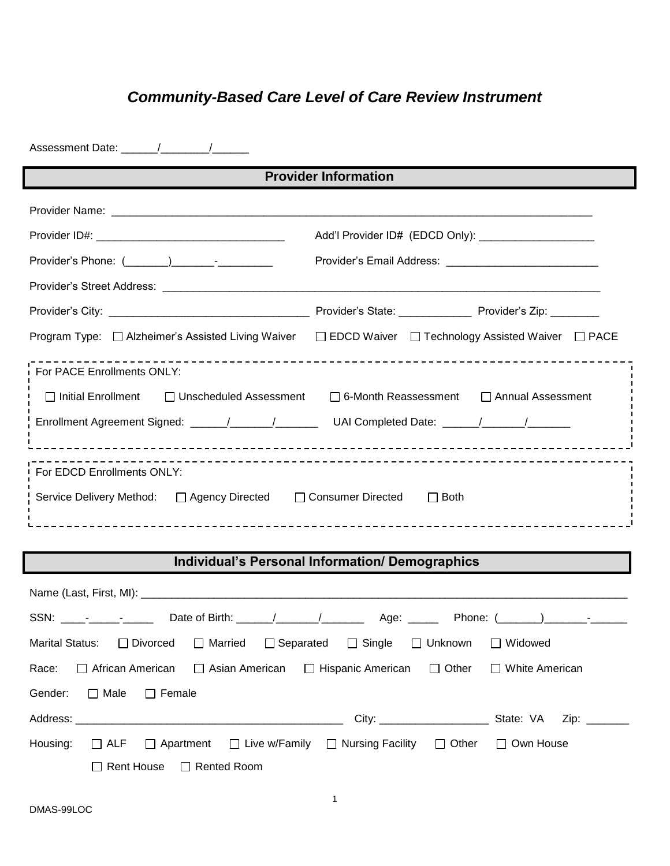# *Community-Based Care Level of Care Review Instrument*

|                                                                                                     | <b>Provider Information</b>                                                                          |
|-----------------------------------------------------------------------------------------------------|------------------------------------------------------------------------------------------------------|
|                                                                                                     |                                                                                                      |
|                                                                                                     | Add'l Provider ID# (EDCD Only): _________________________                                            |
|                                                                                                     |                                                                                                      |
|                                                                                                     |                                                                                                      |
|                                                                                                     |                                                                                                      |
|                                                                                                     | Program Type: □ Alzheimer's Assisted Living Waiver □ EDCD Waiver □ Technology Assisted Waiver □ PACE |
| For PACE Enrollments ONLY:                                                                          |                                                                                                      |
| $\Box$ Initial Enrollment<br>□ Unscheduled Assessment                                               | □ Annual Assessment<br>□ 6-Month Reassessment                                                        |
| Enrollment Agreement Signed: _____/_____/_____________UAI Completed Date: _____/______/____________ |                                                                                                      |
| For EDCD Enrollments ONLY:                                                                          |                                                                                                      |
| Service Delivery Method: □ Agency Directed □ Consumer Directed                                      | $\Box$ Both                                                                                          |
|                                                                                                     |                                                                                                      |

## **Individual's Personal Information/ Demographics**

|                                   |  |                                      |  | Marital Status: □ Divorced □ Married □ Separated □ Single □ Unknown □ Widowed                                   |  |
|-----------------------------------|--|--------------------------------------|--|-----------------------------------------------------------------------------------------------------------------|--|
|                                   |  |                                      |  | Race: $\Box$ African American $\Box$ Asian American $\Box$ Hispanic American $\Box$ Other $\Box$ White American |  |
| Gender: $\Box$ Male $\Box$ Female |  |                                      |  |                                                                                                                 |  |
|                                   |  |                                      |  |                                                                                                                 |  |
|                                   |  |                                      |  | Housing: □ ALF □ Apartment □ Live w/Family □ Nursing Facility □ Other □ Own House                               |  |
|                                   |  | $\Box$ Rent House $\Box$ Rented Room |  |                                                                                                                 |  |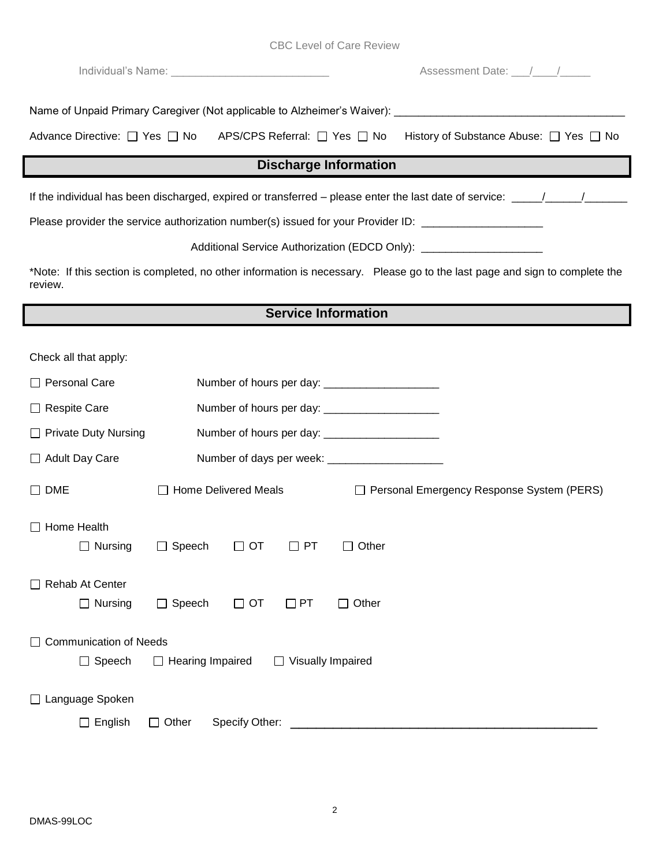|  |  |  |  |  | <b>CBC Level of Care Review</b> |
|--|--|--|--|--|---------------------------------|
|--|--|--|--|--|---------------------------------|

|                                        |                                                            | Assessment Date: 11 / 12                                                                                                    |
|----------------------------------------|------------------------------------------------------------|-----------------------------------------------------------------------------------------------------------------------------|
|                                        |                                                            |                                                                                                                             |
|                                        | Advance Directive: □ Yes □ No APS/CPS Referral: □ Yes □ No | History of Substance Abuse: □ Yes □ No                                                                                      |
|                                        |                                                            | <b>Discharge Information</b>                                                                                                |
|                                        |                                                            |                                                                                                                             |
|                                        |                                                            | Please provider the service authorization number(s) issued for your Provider ID: __________________                         |
|                                        |                                                            | Additional Service Authorization (EDCD Only): __________________________________                                            |
| review.                                |                                                            | *Note: If this section is completed, no other information is necessary. Please go to the last page and sign to complete the |
|                                        |                                                            | <b>Service Information</b>                                                                                                  |
| Check all that apply:<br>Personal Care |                                                            |                                                                                                                             |
| <b>Respite Care</b>                    |                                                            |                                                                                                                             |
| <b>Private Duty Nursing</b>            |                                                            |                                                                                                                             |
| <b>Adult Day Care</b>                  |                                                            | Number of days per week: _______________________                                                                            |
| <b>DME</b>                             | □ Home Delivered Meals                                     | Personal Emergency Response System (PERS)                                                                                   |
| Home Health                            | □ Nursing □ Speech □ OT □ PT □ Other                       |                                                                                                                             |
| Rehab At Center<br>$\Box$ Nursing      | $\Box$ Speech<br>$\Box$ OT<br>$\Box$ PT                    | $\Box$ Other                                                                                                                |
| <b>Communication of Needs</b>          |                                                            |                                                                                                                             |
| $\Box$ Speech                          | $\Box$ Hearing Impaired                                    | □ Visually Impaired                                                                                                         |
| □ Language Spoken<br>English           | Specify Other:<br>Other                                    |                                                                                                                             |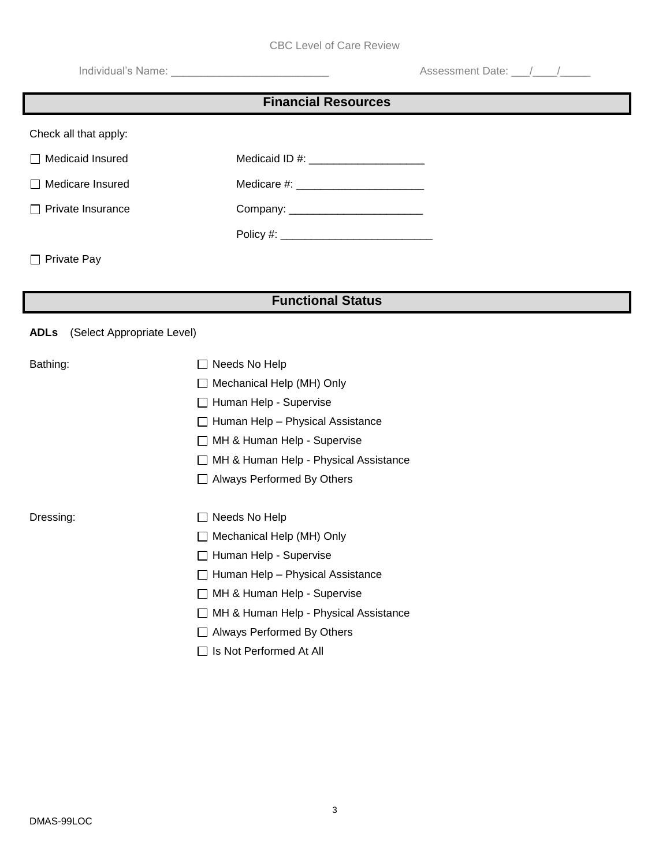|                                           | <b>CBC Level of Care Review</b>         |                       |  |  |  |  |
|-------------------------------------------|-----------------------------------------|-----------------------|--|--|--|--|
|                                           |                                         | Assessment Date: 11 / |  |  |  |  |
| <b>Financial Resources</b>                |                                         |                       |  |  |  |  |
|                                           |                                         |                       |  |  |  |  |
| Check all that apply:                     |                                         |                       |  |  |  |  |
| Medicaid Insured                          | Medicaid ID #: ________________________ |                       |  |  |  |  |
| Medicare Insured                          |                                         |                       |  |  |  |  |
| Private Insurance                         |                                         |                       |  |  |  |  |
|                                           |                                         |                       |  |  |  |  |
| Private Pay                               |                                         |                       |  |  |  |  |
|                                           |                                         |                       |  |  |  |  |
|                                           | <b>Functional Status</b>                |                       |  |  |  |  |
| (Select Appropriate Level)<br><b>ADLs</b> |                                         |                       |  |  |  |  |
|                                           |                                         |                       |  |  |  |  |
| Bathing:                                  | $\Box$ Needs No Help                    |                       |  |  |  |  |
|                                           | Mechanical Help (MH) Only               |                       |  |  |  |  |
|                                           | $\Box$ Human Help - Supervise           |                       |  |  |  |  |
|                                           | $\Box$ Human Help - Physical Assistance |                       |  |  |  |  |
|                                           | □ MH & Human Help - Supervise           |                       |  |  |  |  |
|                                           | □ MH & Human Help - Physical Assistance |                       |  |  |  |  |
|                                           | □ Always Performed By Others            |                       |  |  |  |  |
| Dressing:                                 | Needs No Help                           |                       |  |  |  |  |
|                                           | Mechanical Help (MH) Only               |                       |  |  |  |  |
|                                           | Human Help - Supervise                  |                       |  |  |  |  |
|                                           | Human Help - Physical Assistance        |                       |  |  |  |  |
|                                           | MH & Human Help - Supervise             |                       |  |  |  |  |
|                                           | MH & Human Help - Physical Assistance   |                       |  |  |  |  |
|                                           | Always Performed By Others              |                       |  |  |  |  |
|                                           | Signal Is Not Performed At All          |                       |  |  |  |  |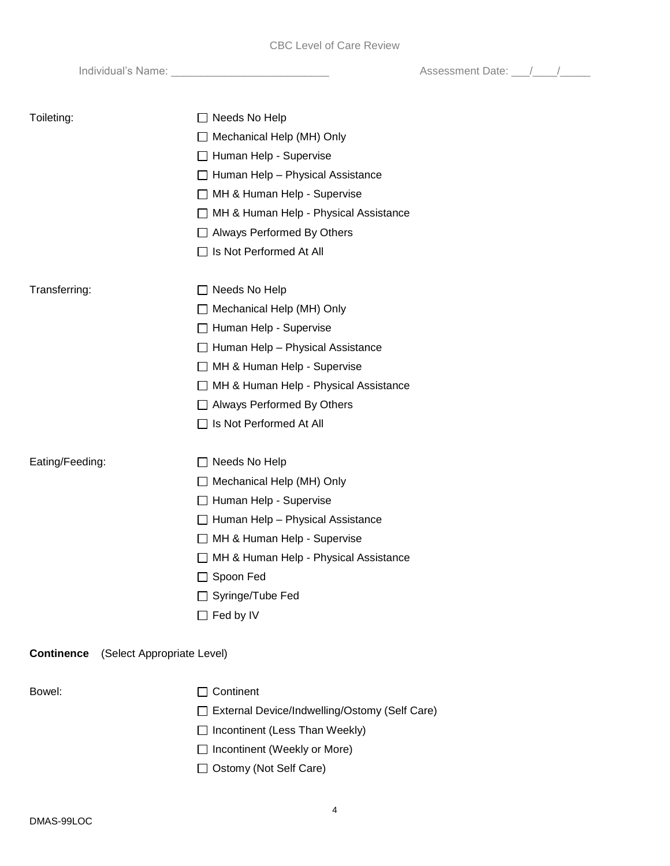Individual's Name: \_\_\_\_\_\_\_\_\_\_\_\_\_\_\_\_\_\_\_\_\_\_\_\_\_\_ Assessment Date: \_\_\_/\_\_\_\_/\_\_\_\_\_

| Toileting:                                      | $\Box$ Needs No Help<br>Mechanical Help (MH) Only<br>□ Human Help - Supervise<br>$\Box$ Human Help - Physical Assistance<br>□ MH & Human Help - Supervise<br>□ MH & Human Help - Physical Assistance<br>□ Always Performed By Others<br>□ Is Not Performed At All      |
|-------------------------------------------------|------------------------------------------------------------------------------------------------------------------------------------------------------------------------------------------------------------------------------------------------------------------------|
| Transferring:                                   | Needs No Help<br>□ Mechanical Help (MH) Only<br>□ Human Help - Supervise<br>$\Box$ Human Help - Physical Assistance<br>□ MH & Human Help - Supervise<br>□ MH & Human Help - Physical Assistance<br>$\Box$ Always Performed By Others<br>$\Box$ Is Not Performed At All |
| Eating/Feeding:                                 | $\Box$ Needs No Help<br>Mechanical Help (MH) Only<br>□ Human Help - Supervise<br>$\Box$ Human Help - Physical Assistance<br>□ MH & Human Help - Supervise<br>□ MH & Human Help - Physical Assistance<br>□ Spoon Fed<br>□ Syringe/Tube Fed<br>$\Box$ Fed by IV          |
| <b>Continence</b><br>(Select Appropriate Level) |                                                                                                                                                                                                                                                                        |
| Bowel:                                          | Continent<br>□ External Device/Indwelling/Ostomy (Self Care)<br>Incontinent (Less Than Weekly)<br>Incontinent (Weekly or More)<br>Ostomy (Not Self Care)                                                                                                               |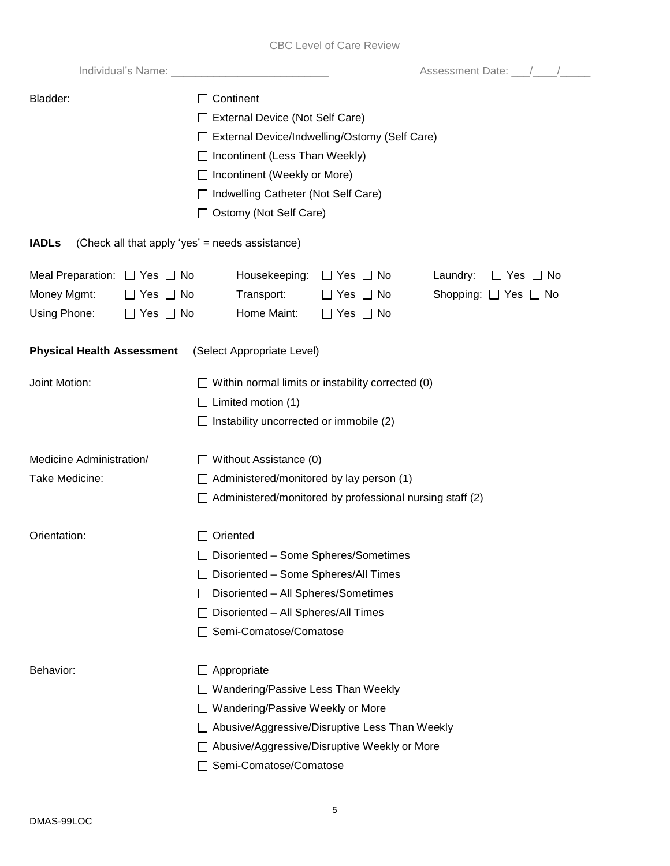|                                                                 | Assessment Date: //////                                                   |  |  |  |
|-----------------------------------------------------------------|---------------------------------------------------------------------------|--|--|--|
| Bladder:                                                        | Continent                                                                 |  |  |  |
|                                                                 | External Device (Not Self Care)                                           |  |  |  |
|                                                                 | External Device/Indwelling/Ostomy (Self Care)                             |  |  |  |
|                                                                 | Incontinent (Less Than Weekly)                                            |  |  |  |
|                                                                 | Incontinent (Weekly or More)                                              |  |  |  |
|                                                                 | Indwelling Catheter (Not Self Care)                                       |  |  |  |
|                                                                 | Ostomy (Not Self Care)                                                    |  |  |  |
|                                                                 |                                                                           |  |  |  |
| (Check all that apply 'yes' = needs assistance)<br><b>IADLs</b> |                                                                           |  |  |  |
| Meal Preparation: $\Box$ Yes $\Box$ No                          | Housekeeping:<br>Laundry:<br>$\Box$ Yes $\Box$ No<br>$\Box$ Yes $\Box$ No |  |  |  |
| Money Mgmt:<br>$\Box$ Yes $\Box$ No                             | Transport:<br>Shopping: $\Box$ Yes $\Box$ No<br>$\Box$ Yes $\Box$ No      |  |  |  |
| Using Phone:<br>$\Box$ Yes $\Box$ No                            | Home Maint:<br>$\Box$ Yes $\Box$ No                                       |  |  |  |
|                                                                 |                                                                           |  |  |  |
| <b>Physical Health Assessment</b>                               | (Select Appropriate Level)                                                |  |  |  |
| Joint Motion:                                                   | Within normal limits or instability corrected (0)                         |  |  |  |
|                                                                 | Limited motion (1)                                                        |  |  |  |
|                                                                 | Instability uncorrected or immobile (2)                                   |  |  |  |
|                                                                 |                                                                           |  |  |  |
| Medicine Administration/                                        | Without Assistance (0)                                                    |  |  |  |
| Take Medicine:                                                  | Administered/monitored by lay person (1)                                  |  |  |  |
|                                                                 | Administered/monitored by professional nursing staff (2)                  |  |  |  |
| Orientation:                                                    | Oriented                                                                  |  |  |  |
|                                                                 | Disoriented - Some Spheres/Sometimes                                      |  |  |  |
|                                                                 | Disoriented - Some Spheres/All Times                                      |  |  |  |
|                                                                 | Disoriented - All Spheres/Sometimes                                       |  |  |  |
|                                                                 | Disoriented - All Spheres/All Times                                       |  |  |  |
|                                                                 | Semi-Comatose/Comatose                                                    |  |  |  |
|                                                                 |                                                                           |  |  |  |
| Behavior:                                                       | Appropriate<br>$\Box$                                                     |  |  |  |
|                                                                 | Wandering/Passive Less Than Weekly                                        |  |  |  |
|                                                                 | Wandering/Passive Weekly or More                                          |  |  |  |
|                                                                 | Abusive/Aggressive/Disruptive Less Than Weekly                            |  |  |  |
|                                                                 | Abusive/Aggressive/Disruptive Weekly or More                              |  |  |  |
|                                                                 | Semi-Comatose/Comatose                                                    |  |  |  |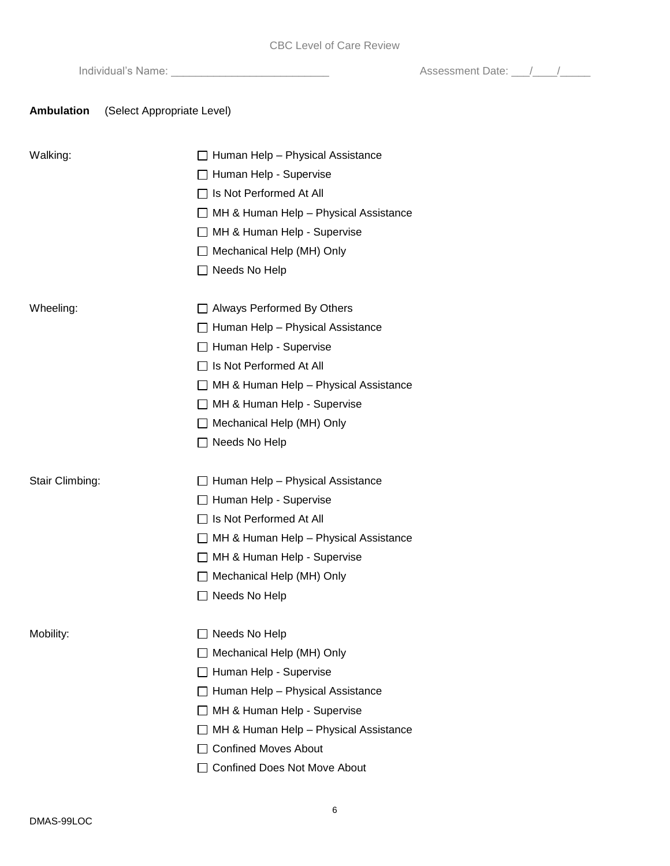Individual's Name: \_\_\_\_\_\_\_\_\_\_\_\_\_\_\_\_\_\_\_\_\_\_\_\_\_\_ Assessment Date: \_\_\_/\_\_\_\_/\_\_\_\_\_

### **Ambulation** (Select Appropriate Level)

| Walking:        | $\Box$ Human Help - Physical Assistance<br>$\Box$ Human Help - Supervise<br>□ Is Not Performed At All<br>$\Box$ MH & Human Help - Physical Assistance<br>□ MH & Human Help - Supervise<br>Mechanical Help (MH) Only<br>$\Box$ Needs No Help                                        |
|-----------------|------------------------------------------------------------------------------------------------------------------------------------------------------------------------------------------------------------------------------------------------------------------------------------|
| Wheeling:       | □ Always Performed By Others<br>$\Box$ Human Help - Physical Assistance<br>$\Box$ Human Help - Supervise<br>$\Box$ Is Not Performed At All<br>$\Box$ MH & Human Help - Physical Assistance<br>□ MH & Human Help - Supervise<br>□ Mechanical Help (MH) Only<br>$\Box$ Needs No Help |
| Stair Climbing: | $\Box$ Human Help - Physical Assistance<br>$\Box$ Human Help - Supervise<br>$\Box$ Is Not Performed At All<br>$\Box$ MH & Human Help - Physical Assistance<br>□ MH & Human Help - Supervise<br>Mechanical Help (MH) Only<br>$\Box$ Needs No Help                                   |
| Mobility:       | $\Box$ Needs No Help<br>Mechanical Help (MH) Only<br>Human Help - Supervise<br>Human Help - Physical Assistance<br>MH & Human Help - Supervise<br>MH & Human Help - Physical Assistance<br><b>Confined Moves About</b><br><b>Confined Does Not Move About</b>                      |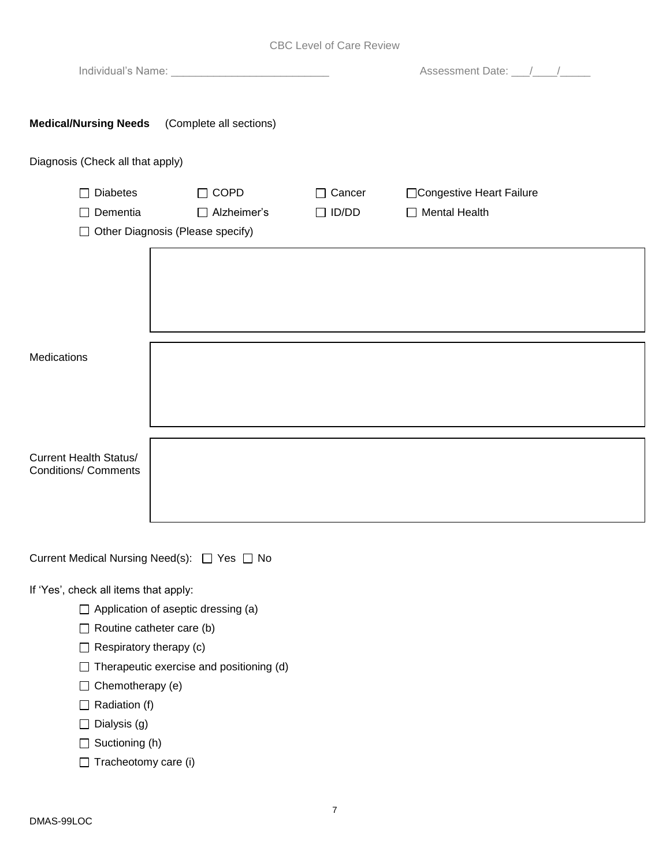|  |  |  |  | <b>CBC Level of Care Review</b> |
|--|--|--|--|---------------------------------|
|--|--|--|--|---------------------------------|

|                                                              |                                                                         |                               | Assessment Date: 11 /                        |  |  |  |  |  |
|--------------------------------------------------------------|-------------------------------------------------------------------------|-------------------------------|----------------------------------------------|--|--|--|--|--|
| <b>Medical/Nursing Needs</b> (Complete all sections)         |                                                                         |                               |                                              |  |  |  |  |  |
| Diagnosis (Check all that apply)                             |                                                                         |                               |                                              |  |  |  |  |  |
| $\Box$ Diabetes<br>$\Box$ Dementia                           | $\Box$ COPD<br>$\Box$ Alzheimer's<br>□ Other Diagnosis (Please specify) | $\Box$ Cancer<br>$\Box$ ID/DD | □Congestive Heart Failure<br>□ Mental Health |  |  |  |  |  |
|                                                              |                                                                         |                               |                                              |  |  |  |  |  |
| Medications                                                  |                                                                         |                               |                                              |  |  |  |  |  |
| <b>Current Health Status/</b><br><b>Conditions/ Comments</b> |                                                                         |                               |                                              |  |  |  |  |  |
| Current Medical Nursing Need(s): □ Yes □ No                  |                                                                         |                               |                                              |  |  |  |  |  |

If 'Yes', check all items that apply:

- $\Box$  Application of aseptic dressing (a)
- $\Box$  Routine catheter care (b)
- $\Box$  Respiratory therapy (c)
- $\Box$  Therapeutic exercise and positioning (d)
- $\Box$  Chemotherapy (e)
- $\Box$  Radiation (f)
- $\Box$  Dialysis (g)
- $\Box$  Suctioning (h)
- $\Box$  Tracheotomy care (i)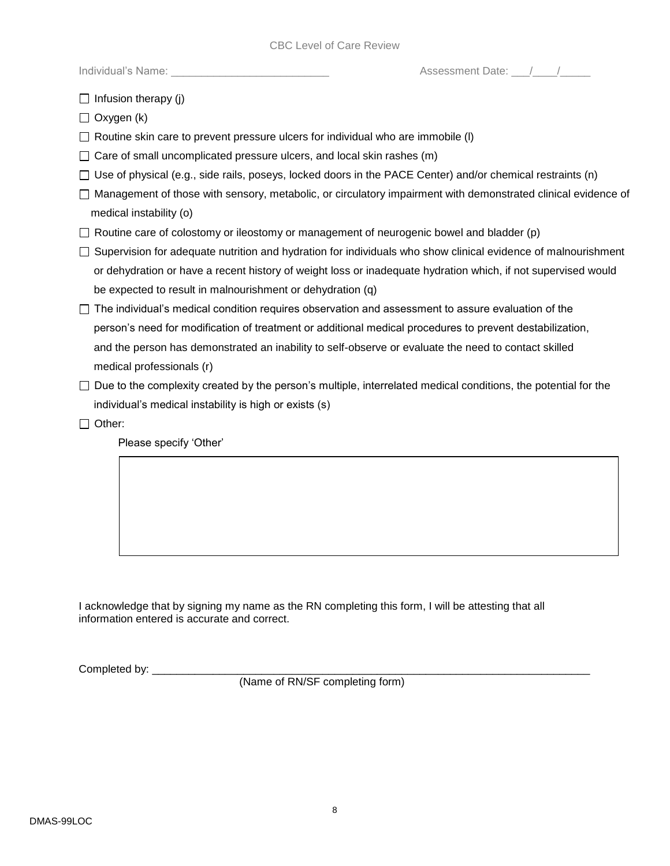|  |  | Individual's Name: |
|--|--|--------------------|
|  |  |                    |

Assessment Date:  $\frac{1}{2}$  /

 $\Box$  Infusion therapy (j)

 $\Box$  Oxygen (k)

 $\Box$  Routine skin care to prevent pressure ulcers for individual who are immobile (I)

 $\Box$  Care of small uncomplicated pressure ulcers, and local skin rashes (m)

- $\Box$  Use of physical (e.g., side rails, poseys, locked doors in the PACE Center) and/or chemical restraints (n)
- Management of those with sensory, metabolic, or circulatory impairment with demonstrated clinical evidence of medical instability (o)
- $\Box$  Routine care of colostomy or ileostomy or management of neurogenic bowel and bladder (p)
- $\Box$  Supervision for adequate nutrition and hydration for individuals who show clinical evidence of malnourishment or dehydration or have a recent history of weight loss or inadequate hydration which, if not supervised would be expected to result in malnourishment or dehydration (q)
- $\Box$  The individual's medical condition requires observation and assessment to assure evaluation of the person's need for modification of treatment or additional medical procedures to prevent destabilization, and the person has demonstrated an inability to self-observe or evaluate the need to contact skilled medical professionals (r)
- $\Box$  Due to the complexity created by the person's multiple, interrelated medical conditions, the potential for the individual's medical instability is high or exists (s)
- □ Other:

Please specify 'Other'

I acknowledge that by signing my name as the RN completing this form, I will be attesting that all information entered is accurate and correct.

Completed by:

(Name of RN/SF completing form)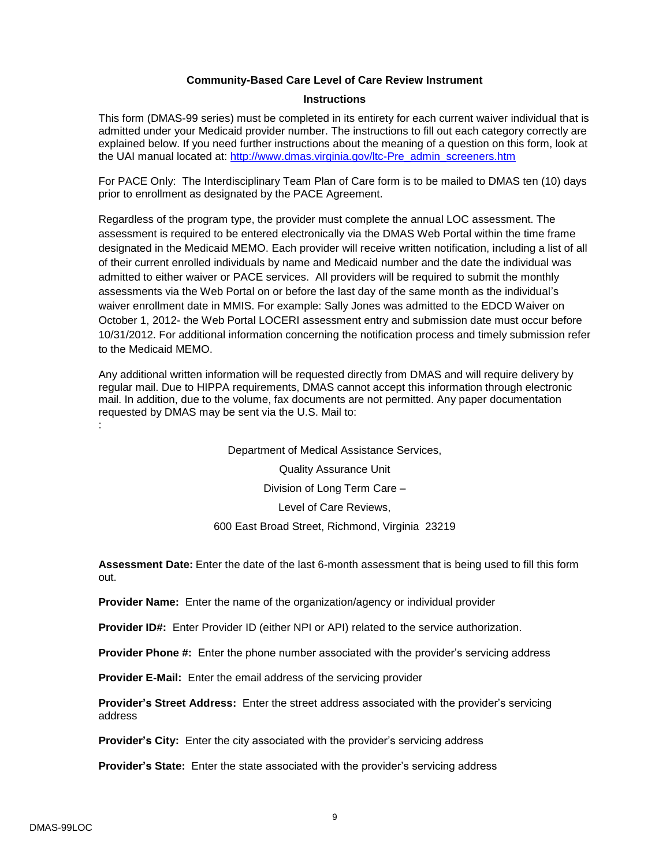#### **Community-Based Care Level of Care Review Instrument**

#### **Instructions**

This form (DMAS-99 series) must be completed in its entirety for each current waiver individual that is admitted under your Medicaid provider number. The instructions to fill out each category correctly are explained below. If you need further instructions about the meaning of a question on this form, look at the UAI manual located at: [http://www.dmas.virginia.gov/ltc-Pre\\_admin\\_screeners.htm](http://www.dmas.virginia.gov/ltc-Pre_admin_screeners.htm)

For PACE Only: The Interdisciplinary Team Plan of Care form is to be mailed to DMAS ten (10) days prior to enrollment as designated by the PACE Agreement.

Regardless of the program type, the provider must complete the annual LOC assessment. The assessment is required to be entered electronically via the DMAS Web Portal within the time frame designated in the Medicaid MEMO. Each provider will receive written notification, including a list of all of their current enrolled individuals by name and Medicaid number and the date the individual was admitted to either waiver or PACE services. All providers will be required to submit the monthly assessments via the Web Portal on or before the last day of the same month as the individual's waiver enrollment date in MMIS. For example: Sally Jones was admitted to the EDCD Waiver on October 1, 2012- the Web Portal LOCERI assessment entry and submission date must occur before 10/31/2012. For additional information concerning the notification process and timely submission refer to the Medicaid MEMO.

Any additional written information will be requested directly from DMAS and will require delivery by regular mail. Due to HIPPA requirements, DMAS cannot accept this information through electronic mail. In addition, due to the volume, fax documents are not permitted. Any paper documentation requested by DMAS may be sent via the U.S. Mail to: :

> Department of Medical Assistance Services, Quality Assurance Unit Division of Long Term Care – Level of Care Reviews, 600 East Broad Street, Richmond, Virginia 23219

**Assessment Date:** Enter the date of the last 6-month assessment that is being used to fill this form out.

**Provider Name:** Enter the name of the organization/agency or individual provider

**Provider ID#:** Enter Provider ID (either NPI or API) related to the service authorization.

**Provider Phone #:** Enter the phone number associated with the provider's servicing address

**Provider E-Mail:** Enter the email address of the servicing provider

**Provider's Street Address:** Enter the street address associated with the provider's servicing address

**Provider's City:** Enter the city associated with the provider's servicing address

**Provider's State:** Enter the state associated with the provider's servicing address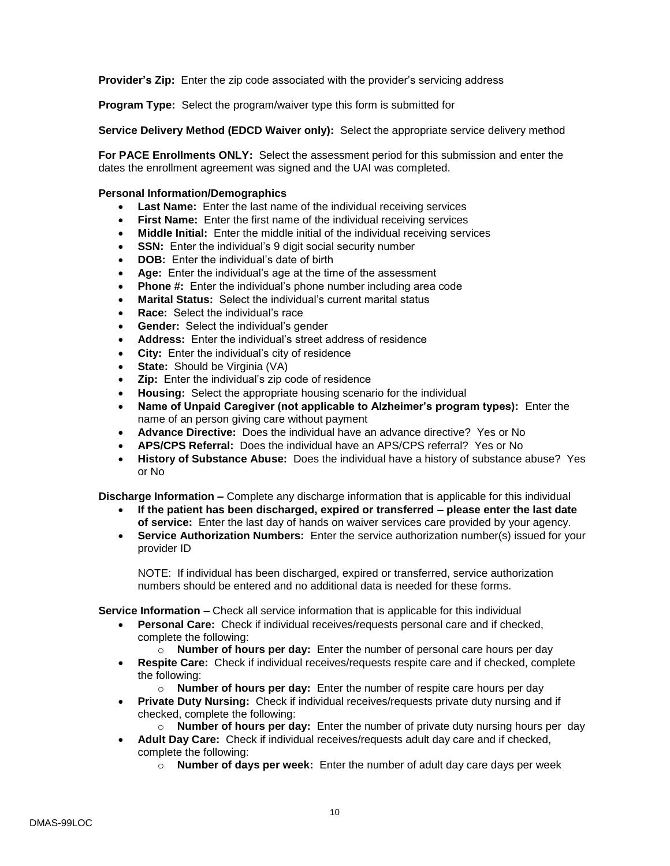**Provider's Zip:** Enter the zip code associated with the provider's servicing address

**Program Type:** Select the program/waiver type this form is submitted for

**Service Delivery Method (EDCD Waiver only):** Select the appropriate service delivery method

**For PACE Enrollments ONLY:** Select the assessment period for this submission and enter the dates the enrollment agreement was signed and the UAI was completed.

#### **Personal Information/Demographics**

- **Last Name:** Enter the last name of the individual receiving services
- **First Name:** Enter the first name of the individual receiving services
- **Middle Initial:** Enter the middle initial of the individual receiving services
- **SSN:** Enter the individual's 9 digit social security number
- **DOB:** Enter the individual's date of birth
- **Age:** Enter the individual's age at the time of the assessment
- **Phone #:** Enter the individual's phone number including area code
- **Marital Status:** Select the individual's current marital status
- **Race:** Select the individual's race
- **Gender:** Select the individual's gender
- **Address:** Enter the individual's street address of residence
- **City:** Enter the individual's city of residence
- **State:** Should be Virginia (VA)
- **Zip:** Enter the individual's zip code of residence
- **Housing:** Select the appropriate housing scenario for the individual
- **Name of Unpaid Caregiver (not applicable to Alzheimer's program types):** Enter the name of an person giving care without payment
- **Advance Directive:** Does the individual have an advance directive? Yes or No
- **APS/CPS Referral:** Does the individual have an APS/CPS referral? Yes or No
- **History of Substance Abuse:** Does the individual have a history of substance abuse? Yes or No

**Discharge Information –** Complete any discharge information that is applicable for this individual

- **If the patient has been discharged, expired or transferred – please enter the last date of service:** Enter the last day of hands on waiver services care provided by your agency.
- **Service Authorization Numbers:** Enter the service authorization number(s) issued for your provider ID

NOTE: If individual has been discharged, expired or transferred, service authorization numbers should be entered and no additional data is needed for these forms.

**Service Information –** Check all service information that is applicable for this individual

- **Personal Care:** Check if individual receives/requests personal care and if checked, complete the following:
	- o **Number of hours per day:** Enter the number of personal care hours per day
- **Respite Care:** Check if individual receives/requests respite care and if checked, complete the following:
	- o **Number of hours per day:** Enter the number of respite care hours per day
- **Private Duty Nursing:** Check if individual receives/requests private duty nursing and if checked, complete the following:
	- o **Number of hours per day:** Enter the number of private duty nursing hours per day
- **Adult Day Care:** Check if individual receives/requests adult day care and if checked, complete the following:
	- o **Number of days per week:** Enter the number of adult day care days per week